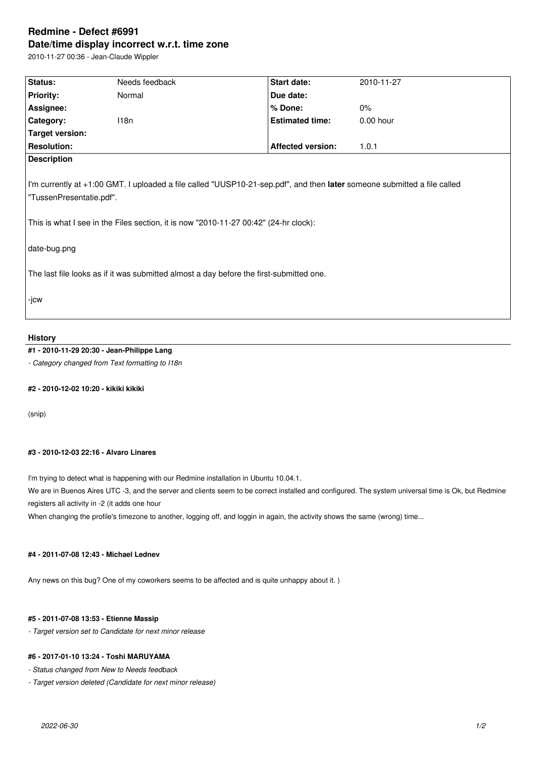# **Redmine - Defect #6991 Date/time display incorrect w.r.t. time zone**

2010-11-27 00:36 - Jean-Claude Wippler

| Status:                                                                                                                                                                                                                                                      | Needs feedback | Start date:              | 2010-11-27  |  |
|--------------------------------------------------------------------------------------------------------------------------------------------------------------------------------------------------------------------------------------------------------------|----------------|--------------------------|-------------|--|
| <b>Priority:</b>                                                                                                                                                                                                                                             | Normal         | Due date:                |             |  |
| Assignee:                                                                                                                                                                                                                                                    |                | % Done:                  | $0\%$       |  |
| Category:                                                                                                                                                                                                                                                    | 118n           | <b>Estimated time:</b>   | $0.00$ hour |  |
| Target version:                                                                                                                                                                                                                                              |                |                          |             |  |
| <b>Resolution:</b>                                                                                                                                                                                                                                           |                | <b>Affected version:</b> | 1.0.1       |  |
| <b>Description</b>                                                                                                                                                                                                                                           |                |                          |             |  |
| I'm currently at +1:00 GMT. I uploaded a file called "UUSP10-21-sep.pdf", and then later someone submitted a file called<br>"TussenPresentatie.pdf".<br>This is what I see in the Files section, it is now "2010-11-27 00:42" (24-hr clock):<br>date-bug.png |                |                          |             |  |
| The last file looks as if it was submitted almost a day before the first-submitted one.                                                                                                                                                                      |                |                          |             |  |
| -jcw                                                                                                                                                                                                                                                         |                |                          |             |  |

#### **History**

## **#1 - 2010-11-29 20:30 - Jean-Philippe Lang**

*- Category changed from Text formatting to I18n*

## **#2 - 2010-12-02 10:20 - kikiki kikiki**

(snip)

#### **#3 - 2010-12-03 22:16 - Alvaro Linares**

I'm trying to detect what is happening with our Redmine installation in Ubuntu 10.04.1.

We are in Buenos Aires UTC -3, and the server and clients seem to be correct installed and configured. The system universal time is Ok, but Redmine registers all activity in -2 (it adds one hour

When changing the profile's timezone to another, logging off, and loggin in again, the activity shows the same (wrong) time...

#### **#4 - 2011-07-08 12:43 - Michael Lednev**

Any news on this bug? One of my coworkers seems to be affected and is quite unhappy about it. )

#### **#5 - 2011-07-08 13:53 - Etienne Massip**

*- Target version set to Candidate for next minor release*

### **#6 - 2017-01-10 13:24 - Toshi MARUYAMA**

*- Status changed from New to Needs feedback*

*- Target version deleted (Candidate for next minor release)*